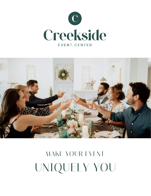



# *MAKE YOUR EVENT UNIQUELY YOU*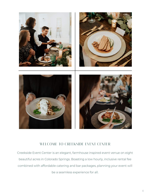

#### *WELCOME TO CREEKSIDE EVENT CENTER*

Creekside Event Center is an elegant, farmhouse inspired event venue on eight beautiful acres in Colorado Springs. Boasting a low hourly, inclusive rental fee combined with affordable catering and bar packages, planning your event will be a seamless experience for all.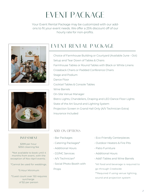## *EVENT PACKAGE*

Your Event Rental Package may be customized with our addons to fit your event needs. We offer a 25% discount off of our hourly rate for non-profits.





#### *INVESTMENT*

\$399 per hour \$350 cleaning fee

\*Not available to book until 4 months from event, with the exception of Nov-April events.

\*Cannot be used for weddings.

\*5 Hour Minimum

\*Guest count over 150 requires surcharge of \$2 per person

### *EVENT RENTAL PACKAGE*

Choice of Farmhouse Building or Courtyard (Available June - Oct) Setup and Tear Down of Tables & Chairs Farmhouse Tables or Round Tables with Black or White Linens Crossback Chairs or Padded Conference Chairs Stage and Podium Dance Floor Cocktail Tables & Console Tables Wine Barrels On-Site Venue Manager Bistro Lights, Chandeliers, Draping and LED Dance Floor Lights State of the Art Sound and Lighting System Projection Screen in Grand Hall Only (A/V Technician Extra) Insurance Included

#### *ADD-ON OPTIONS*

- Bar Packages
- Catering Packages\*
- Additional Hours
- DJ/MC Services
- A/V Technician\*
- Social Photo Booth with

Props

- Eco-Friendly Centerpieces
- Outdoor Heaters & Fire Pits
- Patio Furniture
- Additional Hours
- Add'l Tables and Wine Barrels

\*All food and beverage is required to go through Creekside

\*\*Required if using venue lighting,

sound and projection system